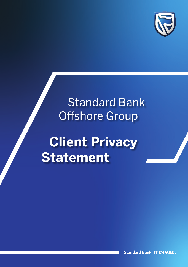

# Standard Bank **Offshore Group**

# **Client Privacy Statement**

**Standard Bank IT CAN BE...**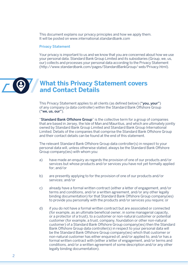This document explains our privacy principles and how we apply them. It will be posted on www.international.standardbank.com

#### Privacy Statement

Your privacy is important to us and we know that you are concerned about how we use your personal data. Standard Bank Group Limited and its subsidiaries (Group, we, us, our) collects and processes your personal data according to the Privacy Statement (http://www.standardbank.com/pages/StandardBankGroup/ web/Privacy.html).

### **What this Privacy Statement covers and Contact Details**

This Privacy Statement applies to all clients (as defined below) ("you, your") of any company (a data controller) within the Standard Bank Offshore Group ("we, us, our").

"Standard Bank Offshore Group" is the collective term for a group of companies that are based in Jersey, the Isle of Man and Mauritius, and which are ultimately jointly owned by Standard Bank Group Limited and Standard Bank Group International Limited. Details of the companies that comprise the Standard Bank Offshore Group and their contact details can be found at the end of this statement.

The relevant Standard Bank Offshore Group data controller(s) in respect to your personal data will, unless otherwise stated, always be the Standard Bank Offshore Group company(ies) with whom you:

- a) have made an enquiry as regards the provision of one of our products and/or services but whose products and/or services you have not yet formally applied for; and/or
- b) are presently applying to for the provision of one of our products and/or services; and/or
- c) already have a formal written contract (either a letter of engagement, and/or terms and conditions, and/or a written agreement, and/or any other legally binding documentation) for that Standard Bank Offshore Group company(ies) to provide you personally with the products and/or services you require; or
- d) if you do not have a formal written contract but are associated or connected (for example, as an ultimate beneficial owner, in some managerial capacity, or a protector of a trust), to a customer or non-natural customer or potential customer (for example, a trust, company, foundation or other non-natural customer) of a Standard Bank Offshore Group company(ies) then the Standard Bank Offshore Group data controller(s) in respect to your personal data will be the Standard Bank Offshore Group company(ies) which that customer or non-natural customer has either enquired of, and/or applied to, and/or has a formal written contract with (either a letter of engagement, and/or terms and conditions, and/or a written agreement of some description and/or any other legally binding documentation).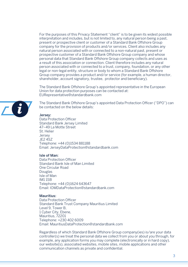For the purposes of this Privacy Statement "client" is to be given its widest possible interpretation and includes, but is not limited to, any natural person being a past, present or prospective client or customer of a Standard Bank Offshore Group company for the provision of products and/or services. Client also includes any natural person associated with or connected to a non-natural past, present or prospective customer of a Standard Bank Offshore Group company and whose personal data that Standard Bank Offshore Group company collects and uses as a result of this association or connection. Client therefore includes any natural person associated with or connected to a trust, company, foundation, or any other legal or non-legal entity, structure or body to whom a Standard Bank Offshore Group company provides a product and/or service (for example, a human director, shareholder, account signatory, trustee, protector and beneficiary).

The Standard Bank Offshore Group's appointed representative in the European Union for data protection purposes can be contacted at: EURepresentative@standardbank.com

The Standard Bank Offshore Group's appointed Data Protection Officer ("DPO") can be contacted on the below details:

#### Jersey:

Data Protection Officer Standard Bank Jersey Limited 47–49 La Motte Street St. Helier **Jersey** JE2 4SZ Telephone: +44 (0)1534 881188 Email: JerseyDataProtection@standardbank.com

#### Isle of Man:

Data Protection Officer Standard Bank Isle of Man Limited One Circular Road Douglas Isle of Man IM1 1SB Telephone: +44 (0)1624 643647 Email: IOMDataProtection@standardbank.com

#### Mauritius:

Data Protection Officer Standard Bank Trust Company Mauritius Limited Level 9, Tower B 1 Cyber City, Ebene, Mauritius, 72201 Telephone: +230 402 6009 Email: MauritiusDataProtection@standardbank.com

Regardless of which Standard Bank Offshore Group company(ies) is/are your data controller(s) we treat the personal data we collect from you or about you through, for example, any application forms you may complete (electronically or in hard copy), our website(s), associated websites, mobile sites, mobile applications and other communication channels as private and confidential.

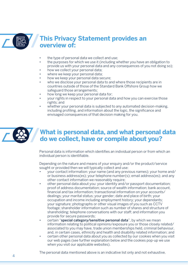

## **This Privacy Statement provides an overview of:**

- the type of personal data we collect and use:
- the purposes for which we use it (including whether you have an obligation to provide us with your personal data and any consequences of you not doing so);
- how we collect your personal data;
- where we keep your personal data;
- how we keep your personal data secure;
- who we disclose your personal data to and where those recipients are in countries outside of those of the Standard Bank Offshore Group how we safeguard those arrangements;
- how long we keep your personal data for;
- your rights in respect to your personal data and how you can exercise those rights; and
- whether your personal data is subjected to any automated decision-making. including profiling, and information about the logic, the significance and envisaged consequences of that decision making for you.



### **What is personal data, and what personal data do we collect, have or compile about you?**

Personal data is information which identifies an individual person or from which an individual person is identifiable.

Depending on the nature and means of your enquiry and/or the product/service sought or provided then we will typically collect and use:

- your contact information: your name (and any previous names); your home and/ or business address(es); your telephone number(s); email address(es); and any other contact information we reasonably require;
- other personal data about you: your identity and/or passport documentation; proof of address documentation; source of wealth information; bank account, financial and tax information; transactional information on your accounts/ dealings; your marital status; your gender; date and place of birth; your occupation and income including employment history; your dependants; your signature; photographs or other visual images of you such as CCTV footage; shareholder information such as number of shares and structure of shareholding; telephone conversations with our staff; and information you provide for secure passwords;
- certain "special category/sensitive personal data", by which we mean information relating to political opinions/exposure you or those closely related/ associated to you may have, trade union memberships held, criminal behaviour, and, in certain cases, ethnicity and health and disability related information; and
- certain other personal data about you as collected by our cookies when you visit our web pages (see further explanation below and the cookies pop-up we use when you visit our applicable websites).

The personal data mentioned above is an indicative list only and not exhaustive.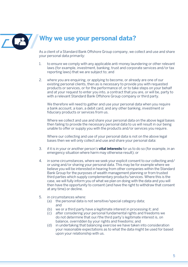

## **Why we use your personal data?**

As a client of a Standard Bank Offshore Group company, we collect and use and share your personal data primarily:

- 1. to ensure we comply with any applicable anti-money laundering or other relevant laws (for example, investment, banking, trust and corporate services and/or tax reporting laws) that we are subject to; and
- 2. where you are enquiring, or applying to become, or already are one of our existing personal clients, then as is necessary to provide you with requested products or services, or for the performance of, or to take steps on your behalf and at your request to enter you into, a contract that you are, or will be, party to with a relevant Standard Bank Offshore Group company or third party.

We therefore will need to gather and use your personal data when you require a bank account, a loan, a debit card, and any other banking, investment or fiduciary products or services from us.

Where we collect and use and share your personal data on the above legal bases then failing to provide the necessary personal data to us will result in our being unable to offer or supply you with the products and/or services you require.

Where our collecting and use of your personal data is not on the above legal bases then we will only collect and use and share your personal data:

- 3. if it is in your or another person's **vital interests** for us to do so (for example, in an emergency situation where harm may otherwise result); or
- 4. in some circumstances, where we seek your explicit consent to our collecting and/ or using and/or sharing your personal data. This may be for example where we believe you will be interested in hearing from other companies within the Standard Bank Group for the purposes of wealth management planning or from trusted third parties which supply complementary products/services. Where this is the case, we will fully inform you of what we plan on doing with the data and you will then have the opportunity to consent (and have the right to withdraw that consent at any time) or decline.
- 5. in circumstances where:
	- (a) the personal data is not sensitive/special category data; and
	- (b) we or a third party have a legitimate interest in processing it; and
	- (c) after considering your personal fundamental rights and freedoms we do not determine that our/the third party's legitimate interest is, on balance, overridden by your rights and freedoms; and
	- (d) in undertaking that balancing exercise we have taken into consideration your reasonable expectations as to what the data might be used for based upon your relationship with us.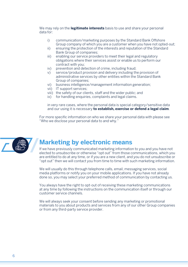We may rely on the **legitimate interests** basis to use and share your personal data for:

- i) communication/marketing purposes by the Standard Bank Offshore Group company of which you are a customer when you have not opted-out;
- ii) ensuring the protection of the interests and reputation of the Standard Bank Group of companies;
- iii) enabling our service providers to meet their legal and regulatory obligations where their services assist or enable us to perform our contract with you;
- iv) prevention and detection of crime, including fraud;<br>v) service/product provision and delivery including the
- service/product provision and delivery including the provision of administrative services by other entities within the Standard Bank Group of companies;
- vi) business intelligence/management information generation;
- vii) IT support services;
- viii) the safety of our clients, staff and the wider public; and
- ix) for handling enquiries, complaints and legal claims.

 in very rare cases, where the personal data is special category/sensitive data and our using it is necessary **to establish, exercise or defend a legal claim**.

For more specific information on who we share your personal data with please see "Who we disclose your personal data to and why."



### **Marketing by electronic means**

If we have previously communicated marketing information to you and you have not elected to unsubscribe or otherwise "opt out" from those communications, which you are entitled to do at any time, or if you are a new client, and you do not unsubscribe or "opt out" then we will contact you from time to time with such marketing information.

We will usually do this through telephone calls, email, messaging services, social media platforms or notify you on your mobile applications. If you have not already done so, you may select your preferred method of communication by contacting us.

You always have the right to opt-out of receiving these marketing communications at any time by following the instructions on the communication itself or through our customer service channels.

We will always seek your consent before sending any marketing or promotional materials to you about products and services from any of our other Group companies or from any third-party service provider.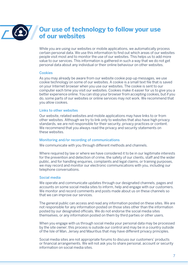

### **Our use of technology to follow your use of our websites**

While you are using our websites or mobile applications, we automatically process certain personal data. We use this information to find out which areas of our websites people visit most and to monitor the use of our websites. This helps us to add more value to our services. This information is gathered in such a way that we do not get personal data about any individual or their online behaviour on other websites.

#### Cookies

As you may already be aware from our website cookie pop-up messages, we use cookie technology on some of our websites. A cookie is a small text file that is saved on your Internet browser when you use our websites. The cookie is sent to our computer each time you visit our websites. Cookies make it easier for us to give you a better experience online. You can stop your browser from accepting cookies, but if you do, some parts of our websites or online services may not work. We recommend that you allow cookies.

#### Links to other websites

Our website, related websites and mobile applications may have links to or from other websites. Although we try to link only to websites that also have high privacy standards, we are not responsible for their security, privacy practices or content. We recommend that you always read the privacy and security statements on these websites.

#### Monitoring and/or recording of communications

We communicate with you through different methods and channels.

Where required by law or where we have considered it to be in our legitimate interests for the prevention and detection of crime, the safety of our clients, staff and the wider public, and for handling enquiries, complaints and legal claims, or training purposes, we may record and monitor our electronic communications with you, including our telephone conversations.

#### Social media

We operate and communicate updates through our designated channels, pages and accounts on some social media sites to inform, help and engage with our customers. We monitor and record comments and posts made about us on these channels so that we can improve our services.

The general public can access and read any information posted on these sites. We are not responsible for any information posted on those sites other than the information posted by our designated officials. We do not endorse the social media sites themselves, or any information posted on them by third parties or other users.

When you engage with us through social media your personal data may be processed by the site owner; this process is outside our control and may be in a country outside of the Isle of Man, Jersey and Mauritius that may have different privacy principles.

Social media sites are not appropriate forums to discuss our customers' products or financial arrangements. We will not ask you to share personal, account or security information on social media sites.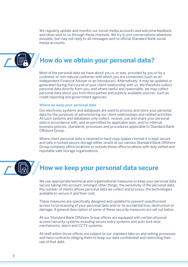We regularly update and monitor our social media accounts and welcome feedback and ideas sent to us through these channels. We try to join conversations whenever possible, but may not reply to all messages sent to official Standard Bank social media accounts.



# **How do we obtain your personal data?**

Most of the personal data we have about you is, or was, provided by you or by a customer or non-natural customer with which you are connected (such as an Independent Financial Adviser or an Introducer). Alternatively, it may be updated or generated during the course of your client relationship with us. We therefore collect personal data directly from you, and where lawful and reasonable, we may collect personal data about you from third parties and publicly available sources, such as credit reporting and government agencies.

#### Where we keep your personal data

Our electronic systems and databases are used to process and store your personal data for the purposes of administering our client relationships and related activities. All such systems and databases only collect, receive, use and share your personal data in accordance with, and as permitted by applicable laws, and/or internal business policies, standards, processes and procedures applicable to Standard Bank Offshore Group.

Where client personal data is retained in hard copy (paper) format it is kept secure and safe in locked secure storage either onsite at our various Standard Bank Offshore Group company office locations or outside those office locations with duly vetted and reputable safe storage organisations.



# **How we keep your personal data secure**

We use appropriate technical and organisational measures to keep your personal data secure taking into account, amongst other things, the sensitivity of the personal data, the number of clients whose personal data we collect and process, the technologies available to secure it and their cost.

These measures are specifically designed and updated to prevent unauthorised access to/processing of your personal data and/or its accidental loss, destruction or damage. A general description of some of these security measures are set out below.

All our Standard Bank Offshore Group offices are equipped with certain physical access/security systems including secure entry systems and auto-lock door mechanisms, alarm and CCTV systems.

All staff within those offices are subject to our standard take on and vetting processes and have contracts obliging them to keep our data confidential and restricting their use of that data.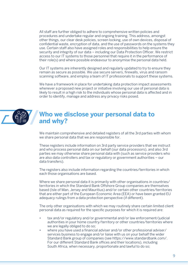All staff are further obliged to adhere to comprehensive written policies and procedures and undertake regular and ongoing training. This address, amongst other things, our clear desk policies, screen locking, use of own devices, disposal of confidential waste, encryption of data, and the use of passwords on the systems they use. Certain staff also have assigned roles and responsibilities to help ensure the security and integrity of our data – including our Data Protection Officer. We restrict access to our IT systems to those personnel that require it in the performance of their role(s) and where possible endeavour to anonymise the personal data held.

Our IT systems are inherently designed and regularly updated to try to ensure they remain as secure as possible. We use secure servers, firewalls, virus and ransom scanning software, and employ a team of IT professionals to support these systems.

We have a framework in place for undertaking data protection impact assessments whenever a proposed new project or initiative involving our use of personal data is likely to result in a high risk to the individuals whose personal data is affected and in order to identify, manage and address any privacy risks posed.



### **Who we disclose your personal data to and why?**

We maintain comprehensive and detailed registers of all the 3rd parties with whom we share personal data that we are responsible for.

These registers include information on 3rd party service providers that we instruct and who process personal data on our behalf (our data processors), and also 3rd parties we may otherwise share personal data with (such as service providers who are also data controllers and tax or regulatory or government authorities – our data transfers).

The registers also include information regarding the countries/territories in which each those organisations are based.

Where we share personal data it is primarily with other organisations in countries/ territories in which the Standard Bank Offshore Group companies are themselves based (Isle of Man, Jersey and Mauritius) and/or certain other countries/territories that are either part of the European Economic Area (EEA) or have been granted EU adequacy rulings from a data protection perspective (if different).

The only other organisations with which we may routinely share certain limited client personal data as required for the specific purposes for which it is required are:

- tax and/or regulatory and/or governmental and/or law enforcement/judicial authorities in your home country/territory or other countries/territories where we are legally obliged to do so;
- where you have used a financial adviser and/or other professional adviser/ services business to engage and/or liaise with us on your behalf the wider Standard Bank group of companies (see https://www.standardbank.com/. For our different Standard Bank offices and their locations), including South Africa, when necessary, proportionate and lawful to do so;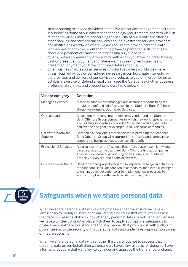- limited sharing to service providers in the USA for service management solutions in supporting some of our information technology requirements and with VISA in relation to various matters concerning the security of our debit card offering;
- other banking and/or financial services and/or investment services providers and institutions worldwide where we are required to provide personal data (sometimes of both the remitter and the payee as part of an instruction) for cheque or payment or transaction processing on your behalf;
- other employer organisations worldwide with whom you have indicated having past or present employment and where we may seek to verify any past or present employment you have confirmed details of to us;
- other business/professional services/product providers worldwide where this is required by you or considered necessary in our legitimate interests for the provision and delivery of our services/products to you or in order for us to establish, exercise or defend a legal claim (see the Categories of other business, professional services and product providers table below):

| Vendor category               | Definition                                                                                                                                                                                                                                                            |
|-------------------------------|-----------------------------------------------------------------------------------------------------------------------------------------------------------------------------------------------------------------------------------------------------------------------|
| <b>Managed Services</b>       | A service supplier that manages and assumes responsibility for<br>providing a defined set of services to the Standard Bank Offshore<br>Group, for example, Debit Card Services.                                                                                       |
| Co-managed                    | A partnership arrangement between a vendor and the Standard<br>Bank Offshore Group companies in which they work together using<br>each of their respective knowledge/specialist skills/systems to<br>achieve the end goal, for example, local Telecoms companies.     |
| Hardware/Software<br>Supplier | Companies/individuals that specialise in providing the Standard<br>Bank Offshore Group with appropriate software and hardware to<br>support the business needs, such as Microsoft.                                                                                    |
| <b>Professional Services</b>  | An organisation or professional that offers customised, knowledge-<br>based services to the Standard Bank Offshore Group companies.<br>They include lawyers, advertising professionals, accountants,<br>property surveyors, and financial advisers.                   |
| <b>Business Consultants</b>   | Used for various projects required to implement change initiatives for<br>the Standard Bank Offshore Group companies, for example, changes<br>to enhance client experience or to implement new processes to<br>ensure compliance with new legislation and regulation. |



## **Safeguards when we share personal data**

When we share personal data with a data processor then we ensure we have a lawful basis for doing so, have a formal vetting procedure that we follow to assess that data processor's ability to look after any personal data shared with them, ensure we have a written contract in place with them to apply appropriate safeguards to protect personal data to a standard and in a manner that provides us with sufficient guarantees as to the security of that personal data and undertake ongoing monitoring of that relationship.

When we share personal data with another third party but not to process that personal data on our behalf then we ensure we have a lawful basis for doing so, have a formal procedure that we follow to consider and approve the transfer beforehand,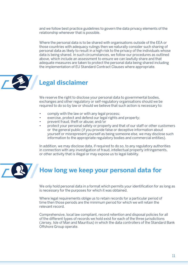and we follow best practice guidelines to govern the data privacy elements of the relationship whenever that is possible.

Where the personal data is to be shared with organisations outside of the EEA or those countries with adequacy rulings then we naturally consider such sharing of personal data as likely to result in a high risk to the privacy of the individuals whose data is being shared. In such circumstances, we follow our procedures as outlined above, which include an assessment to ensure we can lawfully share and that adequate measures are taken to protect the personal data being shared including the implementation of EU Standard Contract Clauses where appropriate.



# **Legal disclaimer**

We reserve the right to disclose your personal data to governmental bodies, exchanges and other regulatory or self-regulatory organisations should we be required to do so by law or should we believe that such action is necessary to:

- comply with the law or with any legal process;
- exercise, protect and defend our legal rights and property;
- prevent fraud, theft or abuse; and/or
- protect your personal safety or property and that of our staff or other customers or the general public (if you provide false or deceptive information about yourself or misrepresent yourself as being someone else, we may disclose such information to the appropriate regulatory bodies and commercial entities).

In addition, we may disclose data, if required to do so, to any regulatory authorities in connection with any investigation of fraud, intellectual property infringements, or other activity that is illegal or may expose us to legal liability.



# **How long we keep your personal data for**

We only hold personal data in a format which permits your identification for as long as is necessary for the purposes for which it was obtained.

Where legal requirements oblige us to retain records for a particular period of time then those periods are the minimum period for which we will retain the relevant record.

Comprehensive, local law compliant, record retention and disposal policies for all of the different types of records we hold exist for each of the three jurisdictions (Jersey, Isle of Man and Mauritius) in which the data controllers of the Standard Bank Offshore Group operate.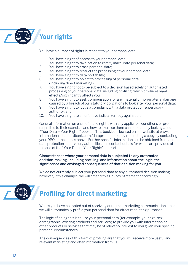

You have a number of rights in respect to your personal data:

- 1. You have a right of access to your personal data;<br>2. You have a right to take action to rectify inaccura
- 2. You have a right to take action to rectify inaccurate personal data;<br>3. You have a right to erase personal data;
- 3. You have a right to erase personal data;<br>4. You have a right to restrict the processin
- 4. You have a right to restrict the processing of your personal data;<br>5. You have a right to data portability:
- 5. You have a right to data portability;<br>6. You have a right to object to proces
- You have a right to object to processing of personal data (including direct marketing);<br>7. You have a right not to be sub
- You have a right not to be subject to a decision based solely on automated processing of your personal data, including profiling, which produces legal effects/significantly affects you;
- 8. You have a right to seek compensation for any material or non-material damage caused by a breach of our statutory obligations to look after your personal data;
- 9. You have a right to lodge a complaint with a data protection supervisory authority; and
- 10. You have a right to an effective judicial remedy against us.

General information on each of these rights, with any applicable conditions or prerequisites to their exercise, and how to exercise them can be found by looking at our "Your Data – Your Rights" booklet. This booklet is located on our website at www. international.standardbank.com/dataprotection or by requesting a copy by contacting your DPO at the details above. Further specific information can be obtained from our data protection supervisory authorities, the contact details for which are provided at the end of the "Your Data – Your Rights" booklet.

Circumstances where your personal data is subjected to any automated decision-making, including profiling, and information about the logic, the significance and envisaged consequences of that decision making for you.

We do not currently subject your personal data to any automated decision making. however, if this changes, we will amend this Privacy Statement accordingly.



Where you have not opted out of receiving our direct marketing communications then we will automatically profile your personal data for direct marketing purposes.

The logic of doing this is to use your personal data (for example, your age, sex, demographic, existing products and services) to provide you with information on other products or services that may be of relevant/interest to you given your specific personal circumstances.

The consequences of this form of profiling are that you will receive more useful and relevant marketing and offer information from us.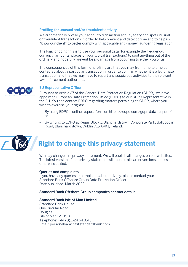#### Profiling for unusual and/or fraudulent activity

We automatically profile your account/transaction activity to try and spot unusual or fraudulent transactions in order to help prevent and detect crime and to help us "know our client" to better comply with applicable anti-money laundering legislation.

The logic of doing this is to use your personal data (for example the frequency, currency, amounts, places of your typical transactions) to spot anything out of the ordinary and hopefully prevent loss/damage from occurring to either you or us.

The consequences of this form of profiling are that you may from time to time be contacted about a particular transaction in order to confirm whether it is a legitimate transaction and that we may have to report any suspicious activities to the relevant law enforcement authorities.



#### **EU Representative Office**

Pursuant to Article 27 of the General Data Protection Regulation (GDPR), we have appointed European Data Protection Office (EDPO) as our GDPR Representative in the EU. You can contact EDPO regarding matters pertaining to GDPR, where you wish to exercise your rights:

- By using EDPO's online request form on https://edpo.com/gdpr-data-request/ or
- By writing to EDPO at Regus Block 1, Blanchardstown Corporate Park, Ballycoolin Road, Blanchardstown, Dublin D15 AKK1, Ireland



# **Right to change this privacy statement**

We may change this privacy statement. We will publish all changes on our websites. The latest version of our privacy statement will replace all earlier versions, unless otherwise stated.

#### Queries and complaints

If you have any queries or complaints about privacy, please contact your Standard Bank Offshore Group Data Protection Officer. Date published: March 2022

#### Standard Bank Offshore Group companies contact details

#### Standard Bank Isle of Man Limited

Standard Bank House One Circular Road Douglas Isle of Man IM1 1SB Telephone: +44 (0)1624 643643 Email: personalbanking@standardbank.com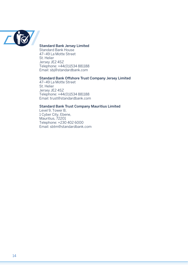

#### Standard Bank Jersey Limited

Standard Bank House 47–49 La Motte Street St. Helier Jersey JE2 4SZ Telephone: +44(0)1534 881188 Email: sbj@standardbank.com

#### Standard Bank Offshore Trust Company Jersey Limited

47–49 La Motte Street St. Helier Jersey JE2 4SZ Telephone: +44(0)1534 881188 Email: trust@standardbank.com

#### Standard Bank Trust Company Mauritius Limited

Level 9, Tower B, 1 Cyber City, Ebene, Mauritius, 72201 Telephone: +230 402 6000 Email: sbtm@standardbank.com